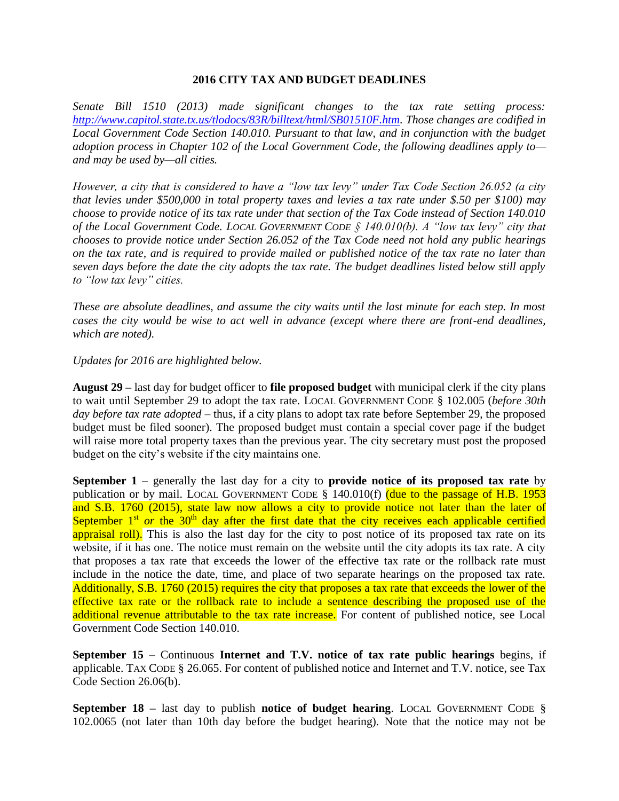## **2016 CITY TAX AND BUDGET DEADLINES**

*Senate Bill 1510 (2013) made significant changes to the tax rate setting process: [http://www.capitol.state.tx.us/tlodocs/83R/billtext/html/SB01510F.htm.](http://www.capitol.state.tx.us/tlodocs/83R/billtext/html/SB01510F.htm) Those changes are codified in Local Government Code Section 140.010. Pursuant to that law, and in conjunction with the budget adoption process in Chapter 102 of the Local Government Code, the following deadlines apply to and may be used by—all cities.* 

*However, a city that is considered to have a "low tax levy" under Tax Code Section 26.052 (a city that levies under \$500,000 in total property taxes and levies a tax rate under \$.50 per \$100) may choose to provide notice of its tax rate under that section of the Tax Code instead of Section 140.010 of the Local Government Code. LOCAL GOVERNMENT CODE § 140.010(b). A "low tax levy" city that chooses to provide notice under Section 26.052 of the Tax Code need not hold any public hearings on the tax rate, and is required to provide mailed or published notice of the tax rate no later than seven days before the date the city adopts the tax rate. The budget deadlines listed below still apply to "low tax levy" cities.* 

*These are absolute deadlines, and assume the city waits until the last minute for each step. In most cases the city would be wise to act well in advance (except where there are front-end deadlines, which are noted).*

## *Updates for 2016 are highlighted below.*

**August 29 –** last day for budget officer to **file proposed budget** with municipal clerk if the city plans to wait until September 29 to adopt the tax rate. LOCAL GOVERNMENT CODE § 102.005 (*before 30th day before tax rate adopted* – thus, if a city plans to adopt tax rate before September 29, the proposed budget must be filed sooner). The proposed budget must contain a special cover page if the budget will raise more total property taxes than the previous year. The city secretary must post the proposed budget on the city's website if the city maintains one.

**September 1** – generally the last day for a city to **provide notice of its proposed tax rate** by publication or by mail. LOCAL GOVERNMENT CODE § 140.010(f) (due to the passage of H.B. 1953 and S.B. 1760 (2015), state law now allows a city to provide notice not later than the later of September  $1<sup>st</sup>$  *or* the 30<sup>th</sup> day after the first date that the city receives each applicable certified appraisal roll). This is also the last day for the city to post notice of its proposed tax rate on its website, if it has one. The notice must remain on the website until the city adopts its tax rate. A city that proposes a tax rate that exceeds the lower of the effective tax rate or the rollback rate must include in the notice the date, time, and place of two separate hearings on the proposed tax rate. Additionally, S.B. 1760 (2015) requires the city that proposes a tax rate that exceeds the lower of the effective tax rate or the rollback rate to include a sentence describing the proposed use of the additional revenue attributable to the tax rate increase. For content of published notice, see Local Government Code Section 140.010.

**September 15** – Continuous **Internet and T.V. notice of tax rate public hearings** begins, if applicable. TAX CODE § 26.065. For content of published notice and Internet and T.V. notice, see Tax Code Section 26.06(b).

**September 18 –** last day to publish **notice of budget hearing**. LOCAL GOVERNMENT CODE § 102.0065 (not later than 10th day before the budget hearing). Note that the notice may not be